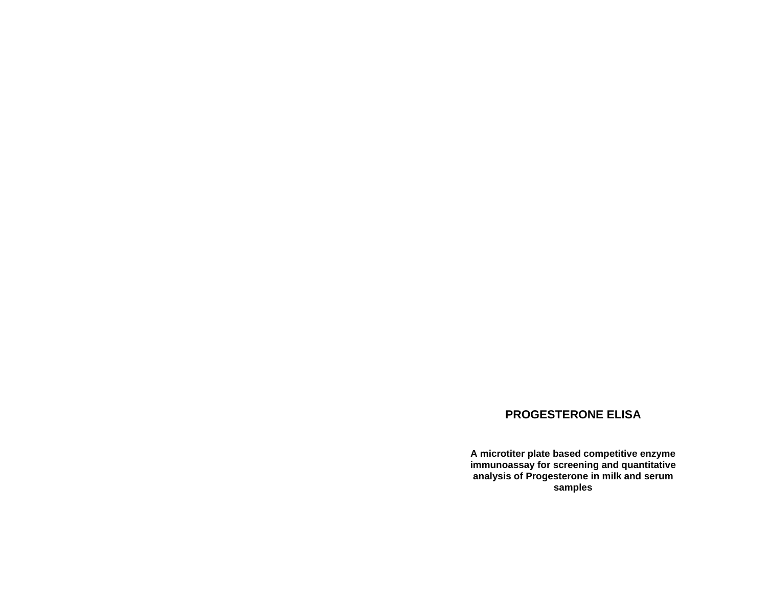# **PROGESTERONE ELISA**

**A microtiter plate based competitive enzyme immunoassay for screening and quantitative analysis of Progesterone in milk and serum samples**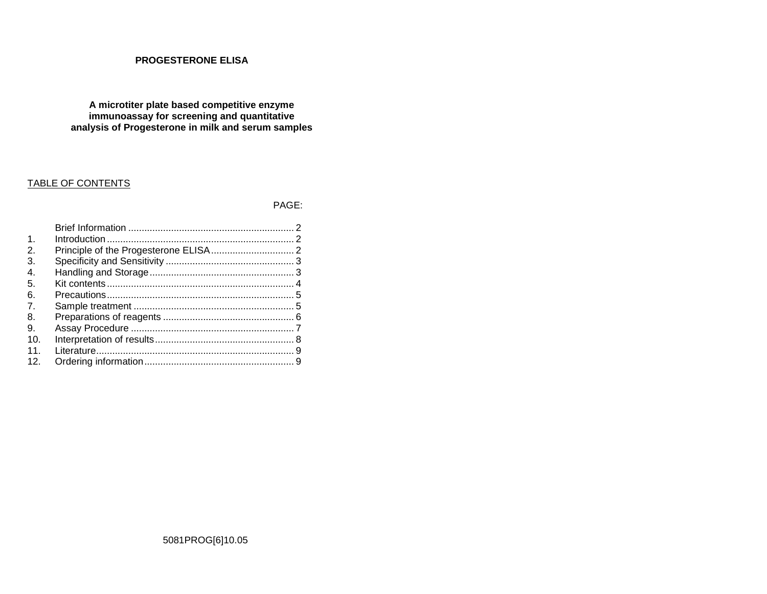## **PROGESTERONE ELISA**

**A microtiter plate based competitive enzyme immunoassay for screening and quantitative analysis of Progesterone in milk and serum samples** 

# TABLE OF CONTENTS

PAGE:

| $\mathbf{1}$    |  |
|-----------------|--|
| 2.              |  |
| З.              |  |
| 4.              |  |
| 5.              |  |
| 6.              |  |
| 7               |  |
| 8.              |  |
| 9.              |  |
| 10.             |  |
| 11              |  |
| 12 <sup>°</sup> |  |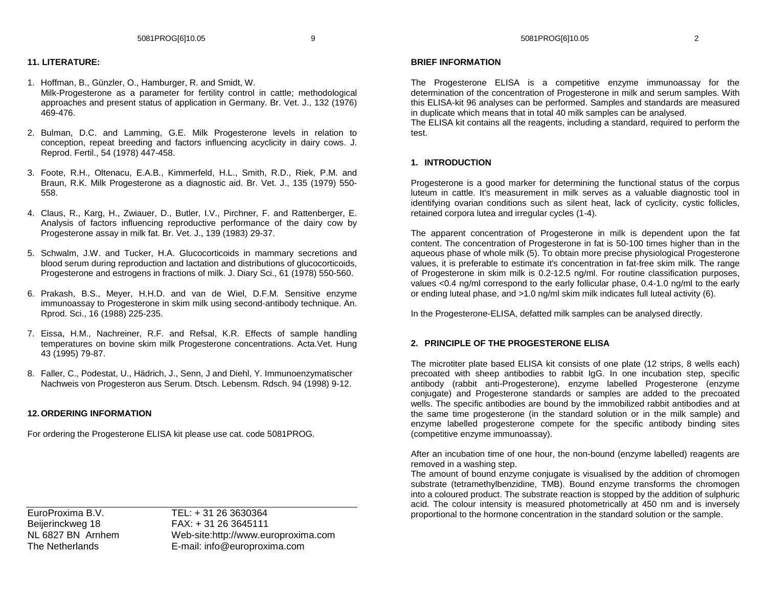### **11. LITERATURE:**

- 1. Hoffman, B., Günzler, O., Hamburger, R. and Smidt, W. Milk-Progesterone as a parameter for fertility control in cattle; methodological approaches and present status of application in Germany. Br. Vet. J., 132 (1976) 469-476.
- 2. Bulman, D.C. and Lamming, G.E. Milk Progesterone levels in relation to conception, repeat breeding and factors influencing acyclicity in dairy cows. J. Reprod. Fertil., 54 (1978) 447-458.
- 3. Foote, R.H., Oltenacu, E.A.B., Kimmerfeld, H.L., Smith, R.D., Riek, P.M. and Braun, R.K. Milk Progesterone as a diagnostic aid. Br. Vet. J., 135 (1979) 550-558.
- 4. Claus, R., Karg, H., Zwiauer, D., Butler, I.V., Pirchner, F. and Rattenberger, E. Analysis of factors influencing reproductive performance of the dairy cow by Progesterone assay in milk fat. Br. Vet. J., 139 (1983) 29-37.
- 5. Schwalm, J.W. and Tucker, H.A. Glucocorticoids in mammary secretions and blood serum during reproduction and lactation and distributions of glucocorticoids, Progesterone and estrogens in fractions of milk. J. Diary Sci., 61 (1978) 550-560.
- 6. Prakash, B.S., Meyer, H.H.D. and van de Wiel, D.F.M. Sensitive enzyme immunoassay to Progesterone in skim milk using second-antibody technique. An. Rprod. Sci., 16 (1988) 225-235.
- 7. Eissa, H.M., Nachreiner, R.F. and Refsal, K.R. Effects of sample handling temperatures on bovine skim milk Progesterone concentrations. Acta.Vet. Hung 43 (1995) 79-87.
- 8. Faller, C., Podestat, U., Hädrich, J., Senn, J and Diehl, Y. Immunoenzymatischer Nachweis von Progesteron aus Serum. Dtsch. Lebensm. Rdsch. 94 (1998) 9-12.

#### **12. ORDERING INFORMATION**

For ordering the Progesterone ELISA kit please use cat. code 5081PROG.

EuroProxima B.V. TEL: + 31 26 3630364 Beijerinckweg 18 FAX: + 31 26 3645111 NL 6827 BN Arnhem Web-site:http://www.europroxima.com The Netherlands E-mail: info@europroxima.com

#### **BRIEF INFORMATION**

The Progesterone ELISA is a competitive enzyme immunoassay for the determination of the concentration of Progesterone in milk and serum samples. With this ELISA-kit 96 analyses can be performed. Samples and standards are measured in duplicate which means that in total 40 milk samples can be analysed.

 The ELISA kit contains all the reagents, including a standard, required to perform the test.

#### **1. INTRODUCTION**

Progesterone is a good marker for determining the functional status of the corpus luteum in cattle. It's measurement in milk serves as a valuable diagnostic tool in identifying ovarian conditions such as silent heat, lack of cyclicity, cystic follicles, retained corpora lutea and irregular cycles (1-4).

The apparent concentration of Progesterone in milk is dependent upon the fat content. The concentration of Progesterone in fat is 50-100 times higher than in the aqueous phase of whole milk (5). To obtain more precise physiological Progesterone values, it is preferable to estimate it's concentration in fat-free skim milk. The range of Progesterone in skim milk is 0.2-12.5 ng/ml. For routine classification purposes, values <0.4 ng/ml correspond to the early follicular phase, 0.4-1.0 ng/ml to the early or ending luteal phase, and >1.0 ng/ml skim milk indicates full luteal activity (6).

In the Progesterone-ELISA, defatted milk samples can be analysed directly.

#### **2. PRINCIPLE OF THE PROGESTERONE ELISA**

The microtiter plate based ELISA kit consists of one plate (12 strips, 8 wells each) precoated with sheep antibodies to rabbit IgG. In one incubation step, specific antibody (rabbit anti-Progesterone), enzyme labelled Progesterone (enzyme conjugate) and Progesterone standards or samples are added to the precoated wells. The specific antibodies are bound by the immobilized rabbit antibodies and at the same time progesterone (in the standard solution or in the milk sample) and enzyme labelled progesterone compete for the specific antibody binding sites (competitive enzyme immunoassay).

After an incubation time of one hour, the non-bound (enzyme labelled) reagents are removed in a washing step.

 The amount of bound enzyme conjugate is visualised by the addition of chromogen substrate (tetramethylbenzidine, TMB). Bound enzyme transforms the chromogen into a coloured product. The substrate reaction is stopped by the addition of sulphuric acid. The colour intensity is measured photometrically at 450 nm and is inversely proportional to the hormone concentration in the standard solution or the sample.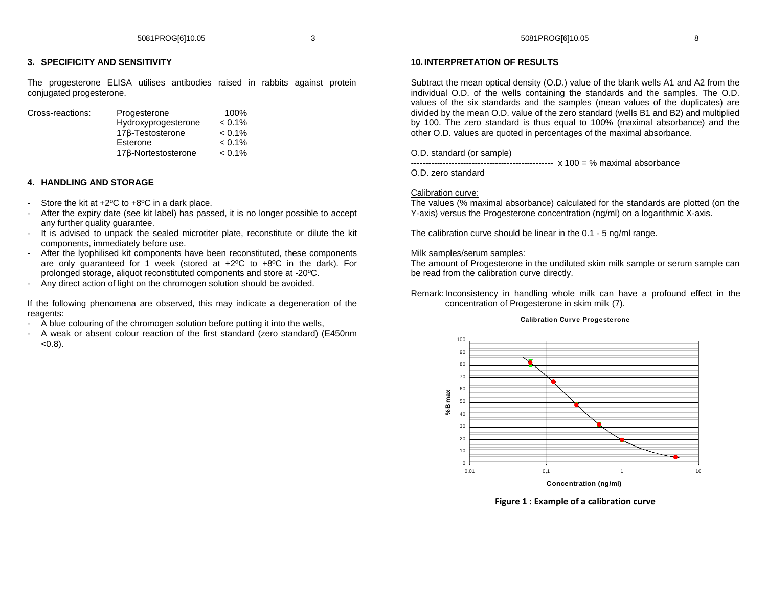## **3. SPECIFICITY AND SENSITIVITY**

The progesterone ELISA utilises antibodies raised in rabbits against protein conjugated progesterone.

| Cross-reactions: | Progesterone        | 100%      |
|------------------|---------------------|-----------|
|                  | Hydroxyprogesterone | $< 0.1\%$ |
|                  | 176-Testosterone    | $< 0.1\%$ |
|                  | Esterone            | $< 0.1\%$ |
|                  | 17β-Nortestosterone | $< 0.1\%$ |

## **4. HANDLING AND STORAGE**

- Store the kit at  $+2^{\circ}$ C to  $+8^{\circ}$ C in a dark place.
- After the expiry date (see kit label) has passed, it is no longer possible to accept any further quality guarantee.
- It is advised to unpack the sealed microtiter plate, reconstitute or dilute the kit components, immediately before use.
- After the lyophilised kit components have been reconstituted, these components are only guaranteed for 1 week (stored at +2ºC to +8ºC in the dark). For prolonged storage, aliquot reconstituted components and store at -20ºC.
- Any direct action of light on the chromogen solution should be avoided.

If the following phenomena are observed, this may indicate a degeneration of the reagents:

- A blue colouring of the chromogen solution before putting it into the wells,
- A weak or absent colour reaction of the first standard (zero standard) (E450nm  $(0.8)$ .

#### **10. INTERPRETATION OF RESULTS**

Subtract the mean optical density (O.D.) value of the blank wells A1 and A2 from the individual O.D. of the wells containing the standards and the samples. The O.D. values of the six standards and the samples (mean values of the duplicates) are divided by the mean O.D. value of the zero standard (wells B1 and B2) and multiplied by 100. The zero standard is thus equal to 100% (maximal absorbance) and the other O.D. values are quoted in percentages of the maximal absorbance.

O.D. standard (or sample)

------------------------------------------------- x 100 = % maximal absorbance

O.D. zero standard

#### Calibration curve:

 The values (% maximal absorbance) calculated for the standards are plotted (on the Y-axis) versus the Progesterone concentration (ng/ml) on a logarithmic X-axis.

The calibration curve should be linear in the 0.1 - 5 ng/ml range.

#### Milk samples/serum samples:

 The amount of Progesterone in the undiluted skim milk sample or serum sample can be read from the calibration curve directly.

Remark: Inconsistency in handling whole milk can have a profound effect in the concentration of Progesterone in skim milk (7).

#### **Calibration Curv <sup>e</sup> Proge ste rone**



**Figure 1 : Example of a calibration curve**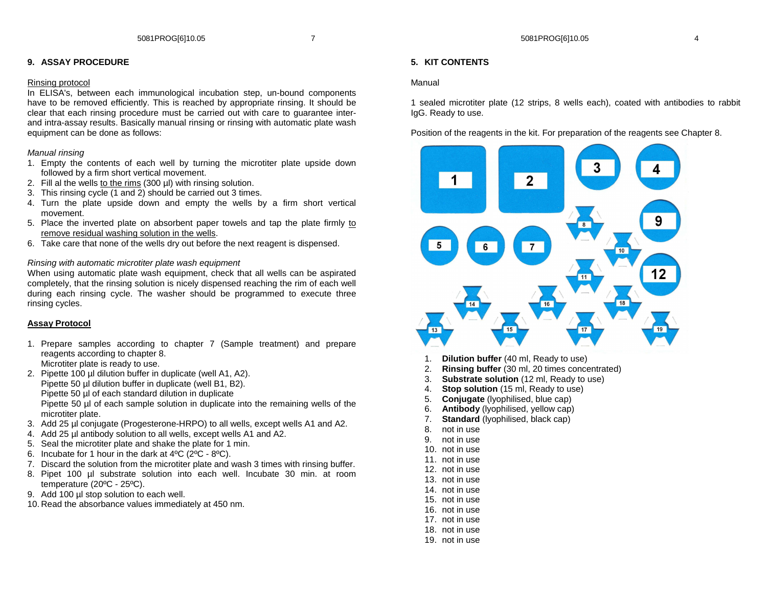### **9. ASSAY PROCEDURE**

#### Rinsing protocol

 In ELISA's, between each immunological incubation step, un-bound components have to be removed efficiently. This is reached by appropriate rinsing. It should be clear that each rinsing procedure must be carried out with care to guarantee interand intra-assay results. Basically manual rinsing or rinsing with automatic plate wash equipment can be done as follows:

### Manual rinsing

- 1. Empty the contents of each well by turning the microtiter plate upside down followed by a firm short vertical movement.
- 2. Fill al the wells to the rims (300 µl) with rinsing solution.
- 3. This rinsing cycle (1 and 2) should be carried out 3 times.
- 4. Turn the plate upside down and empty the wells by a firm short vertical movement.
- 5. Place the inverted plate on absorbent paper towels and tap the plate firmly to remove residual washing solution in the wells.
- 6. Take care that none of the wells dry out before the next reagent is dispensed.

### Rinsing with automatic microtiter plate wash equipment

 When using automatic plate wash equipment, check that all wells can be aspirated completely, that the rinsing solution is nicely dispensed reaching the rim of each well during each rinsing cycle. The washer should be programmed to execute three rinsing cycles.

## **Assay Protocol**

- 1. Prepare samples according to chapter 7 (Sample treatment) and prepare reagents according to chapter 8. Microtiter plate is ready to use.
- 2. Pipette 100 µl dilution buffer in duplicate (well A1, A2). Pipette 50 µl dilution buffer in duplicate (well B1, B2). Pipette 50 µl of each standard dilution in duplicate Pipette 50 µl of each sample solution in duplicate into the remaining wells of the microtiter plate.
- 3. Add 25 µl conjugate (Progesterone-HRPO) to all wells, except wells A1 and A2.
- 4. Add 25 µl antibody solution to all wells, except wells A1 and A2.
- 5. Seal the microtiter plate and shake the plate for 1 min.
- 6. Incubate for 1 hour in the dark at 4ºC (2ºC 8ºC).
- 7. Discard the solution from the microtiter plate and wash 3 times with rinsing buffer.
- 8. Pipet 100 µl substrate solution into each well. Incubate 30 min. at room temperature (20ºC - 25ºC).
- 9. Add 100 µl stop solution to each well.
- 10. Read the absorbance values immediately at 450 nm.

## **5. KIT CONTENTS**

#### Manual

1 sealed microtiter plate (12 strips, 8 wells each), coated with antibodies to rabbit IgG. Ready to use.

Position of the reagents in the kit. For preparation of the reagents see Chapter 8.



- 1. **Dilution buffer** (40 ml, Ready to use)
- 2. **Rinsing buffer** (30 ml, 20 times concentrated)
- 3. **Substrate solution** (12 ml, Ready to use)
- 4. **Stop solution** (15 ml, Ready to use)
- 5. **Conjugate** (lyophilised, blue cap)
- 6. **Antibody** (lyophilised, yellow cap)
- 7. **Standard** (lyophilised, black cap)
- 8. not in use
- 9. not in use
- 10. not in use
- 11. not in use
- 12. not in use
- 13. not in use
- 14. not in use
- 15. not in use
- 16. not in use
- 17. not in use
- 18. not in use
- 19. not in use